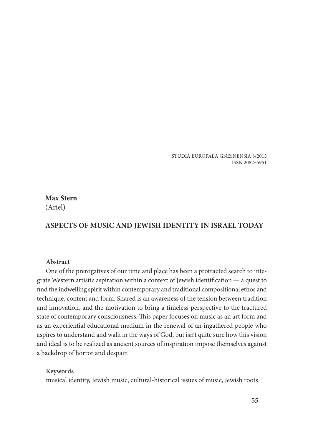STUDIA EUROPAEA GNESNENSIA 8/2013 ISSN 2082–5951

# **Max Stern** (Ariel)

# **ASPECTS OF MUSIC AND JEWISH IDENTITY IN ISRAEL TODAY**

#### **Abstract**

One of the prerogatives of our time and place has been a protracted search to integrate Western artistic aspiration within a context of Jewish identification  $-$  a quest to find the indwelling spirit within contemporary and traditional compositional ethos and technique, content and form. Shared is an awareness of the tension between tradition and innovation, and the motivation to bring a timeless perspective to the fractured state of contemporary consciousness. This paper focuses on music as an art form and as an experiential educational medium in the renewal of an ingathered people who aspires to understand and walk in the ways of God, but isn't quite sure how this vision and ideal is to be realized as ancient sources of inspiration impose themselves against a backdrop of horror and despair.

#### **Keywords**

musical identity, Jewish music, cultural-historical issues of music, Jewish roots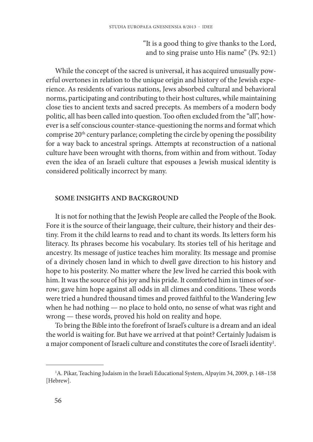"It is a good thing to give thanks to the Lord, and to sing praise unto His name" (Ps. 92:1)

While the concept of the sacred is universal, it has acquired unusually powerful overtones in relation to the unique origin and history of the Jewish experience. As residents of various nations, Jews absorbed cultural and behavioral norms, participating and contributing to their host cultures, while maintaining close ties to ancient texts and sacred precepts. As members of a modern body politic, all has been called into question. Too often excluded from the "all", however is a self conscious counter-stance-questioning the norms and format which comprise 20th century parlance; completing the circle by opening the possibility for a way back to ancestral springs. Attempts at reconstruction of a national culture have been wrought with thorns, from within and from without. Today even the idea of an Israeli culture that espouses a Jewish musical identity is considered politically incorrect by many.

#### **SOME INSIGHTS AND BACKGROUND**

It is not for nothing that the Jewish People are called the People of the Book. Fore it is the source of their language, their culture, their history and their destiny. From it the child learns to read and to chant its words. Its letters form his literacy. Its phrases become his vocabulary. Its stories tell of his heritage and ancestry. Its message of justice teaches him morality. Its message and promise of a divinely chosen land in which to dwell gave direction to his history and hope to his posterity. No matter where the Jew lived he carried this book with him. It was the source of his joy and his pride. It comforted him in times of sorrow; gave him hope against all odds in all climes and conditions. These words were tried a hundred thousand times and proved faithful to the Wandering Jew when he had nothing — no place to hold onto, no sense of what was right and wrong — these words, proved his hold on reality and hope.

To bring the Bible into the forefront of Israel's culture is a dream and an ideal the world is waiting for. But have we arrived at that point? Certainly Judaism is a major component of Israeli culture and constitutes the core of Israeli identity<sup>1</sup>.

<sup>&</sup>lt;sup>1</sup>A. Pikar, Teaching Judaism in the Israeli Educational System, Alpayim 34, 2009, p. 148-158 [Hebrew].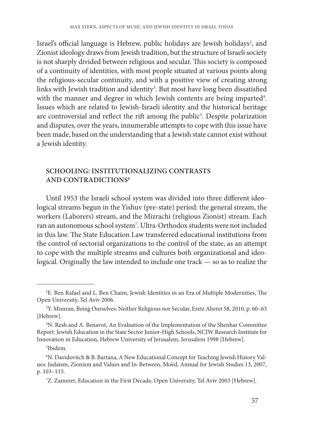Israel's official language is Hebrew, public holidays are Jewish holidays<sup>2</sup>, and Zionist ideology draws from Jewish tradition, but the structure of Israeli society is not sharply divided between religious and secular. This society is composed of a continuity of identities, with most people situated at various points along the religious-secular continuity, and with a positive view of creating strong links with Jewish tradition and identity $^3$ . But most have long been dissatisfied with the manner and degree in which Jewish contents are being imparted<sup>4</sup>. Issues which are related to Jewish-Israeli identity and the historical heritage are controversial and reflect the rift among the public $\delta$ . Despite polarization and disputes, over the years, innumerable attempts to cope with this issue have been made, based on the understanding that a Jewish state cannot exist without a Jewish identity.

# **SCHOOLING: INSTITUTIONALIZING CONTRASTS AND CONTRADICTIONS6**

Until 1953 the Israeli school system was divided into three different ideological streams begun in the Yishuv (pre-state) period: the general stream, the workers (Laborers) stream, and the Mizrachi (religious Zionist) stream. Each ran an autonomous school system<sup>7</sup>. Ultra-Orthodox students were not included in this law. The State Education Law transferred educational institutions from the control of sectorial organizations to the control of the state, as an attempt to cope with the multiple streams and cultures both organizational and ideological. Originally the law intended to include one track — so as to realize the

<sup>&</sup>lt;sup>2</sup>E. Ben Rafael and L. Ben Chaim, Jewish Identities in an Era of Multiple Modernities, The Open University, Tel Aviv 2006.

<sup>&</sup>lt;sup>3</sup>Y. Mimran, Being Ourselves: Neither Religious nor Secular, Eretz Aheret 58, 2010, p. 60-63 [Hebrew].

<sup>&</sup>lt;sup>4</sup>N. Resh and A. Benavot, An Evaluation of the Implementation of the Shenhar Committee Report: Jewish Education in the State Sector Junior-High Schools, NCJW Research Institute for Innovation in Education, Hebrew University of Jerusalem, Jerusalem 1998 [Hebrew].

<sup>5</sup> Ibidem.

<sup>&</sup>lt;sup>6</sup>N. Davidovitch & B. Bartana, A New Educational Concept for Teaching Jewish History Values: Judaism, Zionism and Values and In-Between, Mo'ed, Annual for Jewish Studies 13, 2007, p. 103–115.

<sup>7</sup> Z. Zameret, Education in the First Decade, Open University, Tel Aviv 2003 [Hebrew].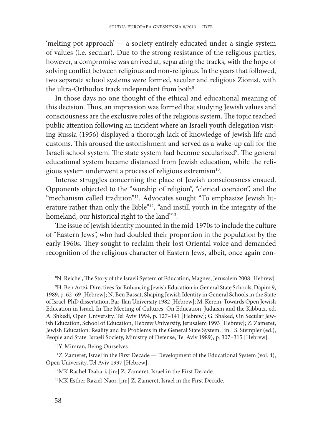'melting pot approach' — a society entirely educated under a single system of values (i.e. secular). Due to the strong resistance of the religious parties, however, a compromise was arrived at, separating the tracks, with the hope of solving conflict between religious and non-religious. In the years that followed, two separate school systems were formed, secular and religious Zionist, with the ultra-Orthodox track independent from both<sup>8</sup>.

In those days no one thought of the ethical and educational meaning of this decision. Thus, an impression was formed that studying Jewish values and consciousness are the exclusive roles of the religious system. The topic reached public attention following an incident where an Israeli youth delegation visiting Russia (1956) displayed a thorough lack of knowledge of Jewish life and customs. This aroused the astonishment and served as a wake-up call for the Israeli school system. The state system had become secularized<sup>9</sup>. The general educational system became distanced from Jewish education, while the religious system underwent a process of religious extremism10.

Intense struggles concerning the place of Jewish consciousness ensued. Opponents objected to the "worship of religion", "clerical coercion", and the "mechanism called tradition"<sup>11</sup>. Advocates sought "To emphasize Jewish literature rather than only the Bible"<sup>12</sup>, "and instill youth in the integrity of the homeland, our historical right to the land"<sup>13</sup>.

The issue of Jewish identity mounted in the mid-1970s to include the culture of "Eastern Jews", who had doubled their proportion in the population by the early 1960s. They sought to reclaim their lost Oriental voice and demanded recognition of the religious character of Eastern Jews, albeit, once again con-

<sup>&</sup>lt;sup>8</sup>N. Reichel, The Story of the Israeli System of Education, Magnes, Jerusalem 2008 [Hebrew].

<sup>9</sup> H. Ben Artzi, Directives for Enhancing Jewish Education in General State Schools, Dapim 9, 1989, p. 62–69 [Hebrew]; N. Ben Bassat, Shaping Jewish Identity in General Schools in the State of Israel, PhD dissertation, Bar-Ilan University 1982 [Hebrew]; M. Kerem, Towards Open Jewish Education in Israel. In The Meeting of Cultures: On Education, Judaism and the Kibbutz, ed. A. Shkedi, Open University, Tel Aviv 1994, p. 127–141 [Hebrew]; G. Shaked, On Secular Jewish Education, School of Education, Hebrew University, Jerusalem 1993 [Hebrew]; Z. Zameret, Jewish Education: Reality and Its Problems in the General State System, [in:] S. Stempler (ed.), People and State: Israeli Society, Ministry of Defense, Tel Aviv 1989), p. 307–315 [Hebrew].

<sup>&</sup>lt;sup>10</sup> Y. Mimran, Being Ourselves.

<sup>&</sup>lt;sup>11</sup>Z. Zameret, Israel in the First Decade — Development of the Educational System (vol. 4), Open University, Tel Aviv 1997 [Hebrew].

<sup>&</sup>lt;sup>12</sup>MK Rachel Tzabari, [in:] Z. Zameret, Israel in the First Decade.

<sup>13</sup> MK Esther Raziel-Naor, [in:] Z. Zameret, Israel in the First Decade.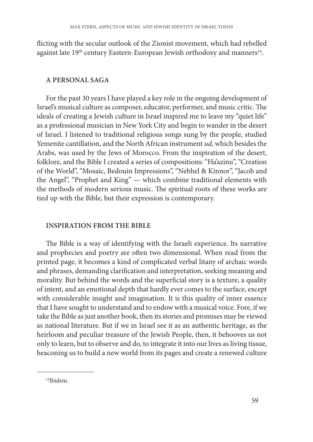flicting with the secular outlook of the Zionist movement, which had rebelled against late 19<sup>th</sup> century Eastern-European Jewish orthodoxy and manners<sup>14</sup>.

### **A PERSONAL SAGA**

For the past 30 years I have played a key role in the ongoing development of Israel's musical culture as composer, educator, performer, and music critic. The ideals of creating a Jewish culture in Israel inspired me to leave my "quiet life" as a professional musician in New York City and begin to wander in the desert of Israel. I listened to traditional religious songs sung by the people, studied Yemenite cantillation, and the North African instrument *ud*, which besides the Arabs, was used by the Jews of Morocco. From the inspiration of the desert, folklore, and the Bible I created a series of compositions: "Ha'azinu", "Creation of the World", "Mosaic, Bedouin Impressions", "Nebhel & Kinnor", "Jacob and the Angel", "Prophet and King" — which combine traditional elements with the methods of modern serious music. The spiritual roots of these works are tied up with the Bible, but their expression is contemporary.

#### **INSPIRATION FROM THE BIBLE**

The Bible is a way of identifying with the Israeli experience. Its narrative and prophecies and poetry are often two dimensional. When read from the printed page, it becomes a kind of complicated verbal litany of archaic words and phrases, demanding clarification and interpretation, seeking meaning and morality. But behind the words and the superficial story is a texture, a quality of intent, and an emotional depth that hardly ever comes to the surface, except with considerable insight and imagination. It is this quality of inner essence that I have sought to understand and to endow with a musical voice. Fore, if we take the Bible as just another book, then its stories and promises may be viewed as national literature. But if we in Israel see it as an authentic heritage, as the heirloom and peculiar treasure of the Jewish People, then, it behooves us not only to learn, but to observe and do, to integrate it into our lives as living tissue, beaconing us to build a new world from its pages and create a renewed culture

<sup>14</sup> Ibidem.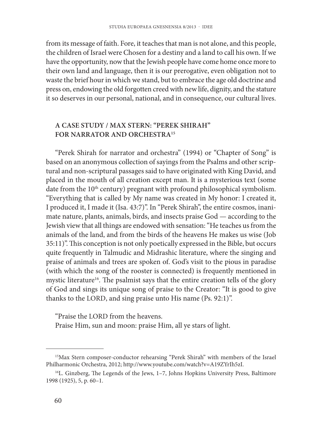from its message of faith. Fore, it teaches that man is not alone, and this people, the children of Israel were Chosen for a destiny and a land to call his own. If we have the opportunity, now that the Jewish people have come home once more to their own land and language, then it is our prerogative, even obligation not to waste the brief hour in which we stand, but to embrace the age old doctrine and press on, endowing the old forgotten creed with new life, dignity, and the stature it so deserves in our personal, national, and in consequence, our cultural lives.

### **A CASE STUDY / MAX STERN: "PEREK SHIRAH" FOR NARRATOR AND ORCHESTRA15**

"Perek Shirah for narrator and orchestra" (1994) or "Chapter of Song" is based on an anonymous collection of sayings from the Psalms and other scriptural and non-scriptural passages said to have originated with King David, and placed in the mouth of all creation except man. It is a mysterious text (some date from the 10th century) pregnant with profound philosophical symbolism. "Everything that is called by My name was created in My honor: I created it, I produced it, I made it (Isa. 43:7)". In "Perek Shirah", the entire cosmos, inanimate nature, plants, animals, birds, and insects praise God — according to the Jewish view that all things are endowed with sensation: "He teaches us from the animals of the land, and from the birds of the heavens He makes us wise (Job 35:11)". This conception is not only poetically expressed in the Bible, but occurs quite frequently in Talmudic and Midrashic literature, where the singing and praise of animals and trees are spoken of. God's visit to the pious in paradise (with which the song of the rooster is connected) is frequently mentioned in mystic literature<sup>16</sup>. The psalmist says that the entire creation tells of the glory of God and sings its unique song of praise to the Creator: "It is good to give thanks to the LORD, and sing praise unto His name (Ps. 92:1)".

"Praise the LORD from the heavens.

Praise Him, sun and moon: praise Him, all ye stars of light.

<sup>15</sup> Max Stern composer-conductor rehearsing "Perek Shirah" with members of the Israel Philharmonic Orchestra, 2012; http://www.youtube.com/watch?v=A19ZYrIh5zI.

<sup>&</sup>lt;sup>16</sup>L. Ginzberg, The Legends of the Jews, 1-7, Johns Hopkins University Press, Baltimore 1998 (1925), 5, p. 60–1.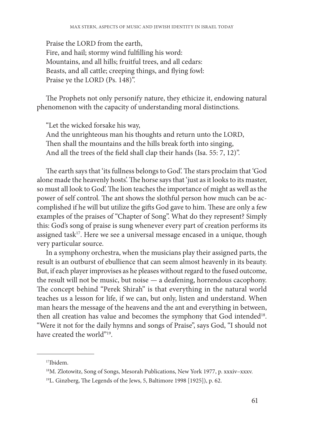Praise the LORD from the earth, Fire, and hail; stormy wind fulfilling his word: Mountains, and all hills; fruitful trees, and all cedars: Beasts, and all cattle; creeping things, and flying fowl: Praise ye the LORD (Ps. 148)".

The Prophets not only personify nature, they ethicize it, endowing natural phenomenon with the capacity of understanding moral distinctions.

"Let the wicked forsake his way, And the unrighteous man his thoughts and return unto the LORD, Then shall the mountains and the hills break forth into singing, And all the trees of the field shall clap their hands (Isa. 55: 7, 12)".

The earth says that 'its fullness belongs to God'. The stars proclaim that 'God alone made the heavenly hosts'. The horse says that 'just as it looks to its master, so must all look to God'. The lion teaches the importance of might as well as the power of self control. The ant shows the slothful person how much can be accomplished if he will but utilize the gifts God gave to him. These are only a few examples of the praises of "Chapter of Song". What do they represent? Simply this: God's song of praise is sung whenever every part of creation performs its assigned task<sup>17</sup>. Here we see a universal message encased in a unique, though very particular source.

In a symphony orchestra, when the musicians play their assigned parts, the result is an outburst of ebullience that can seem almost heavenly in its beauty. But, if each player improvises as he pleases without regard to the fused outcome, the result will not be music, but noise — a deafening, horrendous cacophony. The concept behind "Perek Shirah" is that everything in the natural world teaches us a lesson for life, if we can, but only, listen and understand. When man hears the message of the heavens and the ant and everything in between, then all creation has value and becomes the symphony that God intended<sup>18</sup>. "Were it not for the daily hymns and songs of Praise", says God, "I should not have created the world"19.

<sup>17</sup> Ibidem.

<sup>18</sup> M. Zlotowitz, Song of Songs, Mesorah Publications, New York 1977, p. xxxiv–xxxv.

 $19$ L. Ginzberg, The Legends of the Jews, 5, Baltimore 1998 [1925]), p. 62.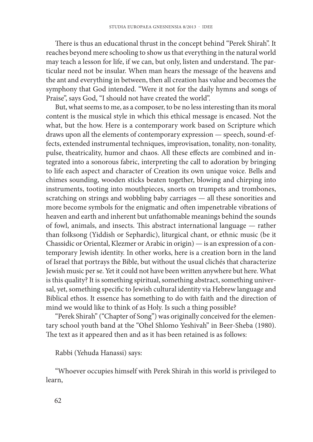There is thus an educational thrust in the concept behind "Perek Shirah". It reaches beyond mere schooling to show us that everything in the natural world may teach a lesson for life, if we can, but only, listen and understand. The particular need not be insular. When man hears the message of the heavens and the ant and everything in between, then all creation has value and becomes the symphony that God intended. "Were it not for the daily hymns and songs of Praise", says God, "I should not have created the world".

But, what seems to me, as a composer, to be no less interesting than its moral content is the musical style in which this ethical message is encased. Not the what, but the how. Here is a contemporary work based on Scripture which draws upon all the elements of contemporary expression — speech, sound-effects, extended instrumental techniques, improvisation, tonality, non-tonality, pulse, theatricality, humor and chaos. All these effects are combined and integrated into a sonorous fabric, interpreting the call to adoration by bringing to life each aspect and character of Creation its own unique voice. Bells and chimes sounding, wooden sticks beaten together, blowing and chirping into instruments, tooting into mouthpieces, snorts on trumpets and trombones, scratching on strings and wobbling baby carriages — all these sonorities and more become symbols for the enigmatic and often impenetrable vibrations of heaven and earth and inherent but unfathomable meanings behind the sounds of fowl, animals, and insects. This abstract international language — rather than folksong (Yiddish or Sephardic), liturgical chant, or ethnic music (be it Chassidic or Oriental, Klezmer or Arabic in origin) — is an expression of a contemporary Jewish identity. In other works, here is a creation born in the land of Israel that portrays the Bible, but without the usual clichés that characterize Jewish music per se. Yet it could not have been written anywhere but here. What is this quality? It is something spiritual, something abstract, something universal, yet, something specific to Jewish cultural identity via Hebrew language and Biblical ethos. It essence has something to do with faith and the direction of mind we would like to think of as Holy. Is such a thing possible?

"Perek Shirah" ("Chapter of Song") was originally conceived for the elementary school youth band at the "Ohel Shlomo Yeshivah" in Beer-Sheba (1980). The text as it appeared then and as it has been retained is as follows:

Rabbi (Yehuda Hanassi) says:

"Whoever occupies himself with Perek Shirah in this world is privileged to learn,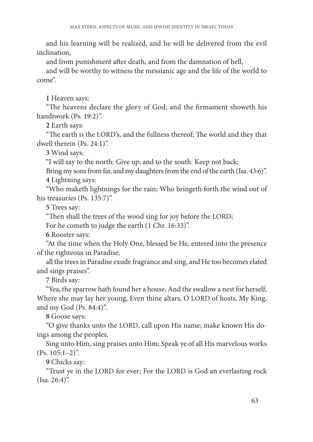and his learning will be realized, and he will be delivered from the evil inclination,

and from punishment after death, and from the damnation of hell,

and will be worthy to witness the messianic age and the life of the world to come".

**1** Heaven says:

"The heavens declare the glory of God; and the firmament showeth his handiwork (Ps. 19:2)".

**2** Earth says:

"The earth is the LORD's, and the fullness thereof; The world and they that dwell therein (Ps. 24:1)".

**3** Wind says:

"I will say to the north: Give up; and to the south: Keep not back;

Bring my sons from far, and my daughters from the end of the earth (Isa. 43:6)". **4** Lightning says:

"Who maketh lightnings for the rain; Who bringeth forth the wind out of his treasuries (Ps. 135:7)".

**5** Trees say:

"Then shall the trees of the wood sing for joy before the LORD;

For he cometh to judge the earth (1 Chr. 16:33)".

**6** Rooster says:

"At the time when the Holy One, blessed be He, entered into the presence of the righteous in Paradise,

all the trees in Paradise exude fragrance and sing, and He too becomes elated and sings praises".

**7** Birds say:

"Yea, the sparrow hath found her a house, And the swallow a nest for herself, Where she may lay her young, Even thine altars, O LORD of hosts, My King, and my God (Ps. 84:4)".

**8** Goose says:

"O give thanks unto the LORD, call upon His name; make known His doings among the peoples.

Sing unto Him, sing praises unto Him; Speak ye of all His marvelous works (Ps. 105:1–2)".

**9** Chicks say:

"Trust ye in the LORD for ever; For the LORD is God an everlasting rock (Isa. 26:4)".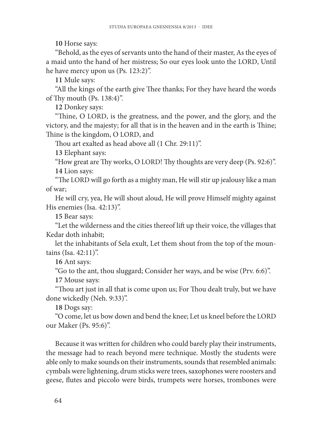**10** Horse says:

"Behold, as the eyes of servants unto the hand of their master, As the eyes of a maid unto the hand of her mistress; So our eyes look unto the LORD, Until he have mercy upon us (Ps. 123:2)".

**11** Mule says:

"All the kings of the earth give Thee thanks; For they have heard the words of Thy mouth (Ps.  $138:4$ )".

**12** Donkey says:

"Thine, O LORD, is the greatness, and the power, and the glory, and the victory, and the majesty; for all that is in the heaven and in the earth is Thine; Thine is the kingdom, O LORD, and

Thou art exalted as head above all (1 Chr. 29:11)".

**13** Elephant says:

"How great are Thy works, O LORD! Thy thoughts are very deep (Ps. 92:6)". **14** Lion says:

"The LORD will go forth as a mighty man, He will stir up jealousy like a man of war;

He will cry, yea, He will shout aloud, He will prove Himself mighty against His enemies (Isa. 42:13)".

**15** Bear says:

"Let the wilderness and the cities thereof lift up their voice, the villages that Kedar doth inhabit;

let the inhabitants of Sela exult, Let them shout from the top of the mountains (Isa. 42:11)".

**16** Ant says:

"Go to the ant, thou sluggard; Consider her ways, and be wise (Prv. 6:6)".

**17** Mouse says:

"Thou art just in all that is come upon us; For Thou dealt truly, but we have done wickedly (Neh. 9:33)".

**18** Dogs say:

"O come, let us bow down and bend the knee; Let us kneel before the LORD our Maker (Ps. 95:6)".

Because it was written for children who could barely play their instruments, the message had to reach beyond mere technique. Mostly the students were able only to make sounds on their instruments, sounds that resembled animals: cymbals were lightening, drum sticks were trees, saxophones were roosters and geese, flutes and piccolo were birds, trumpets were horses, trombones were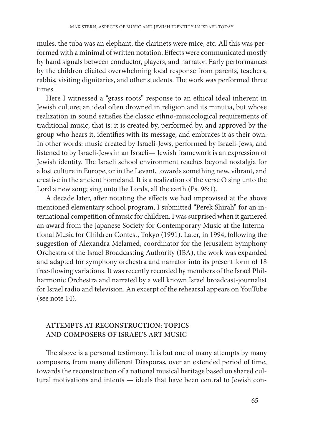mules, the tuba was an elephant, the clarinets were mice, etc. All this was performed with a minimal of written notation. Effects were communicated mostly by hand signals between conductor, players, and narrator. Early performances by the children elicited overwhelming local response from parents, teachers, rabbis, visiting dignitaries, and other students. The work was performed three times.

Here I witnessed a "grass roots" response to an ethical ideal inherent in Jewish culture; an ideal often drowned in religion and its minutia, but whose realization in sound satisfies the classic ethno-musicological requirements of traditional music, that is: it is created by, performed by, and approved by the group who hears it, identifies with its message, and embraces it as their own. In other words: music created by Israeli-Jews, performed by Israeli-Jews, and listened to by Israeli-Jews in an Israeli— Jewish framework is an expression of Jewish identity. The Israeli school environment reaches beyond nostalgia for a lost culture in Europe, or in the Levant, towards something new, vibrant, and creative in the ancient homeland. It is a realization of the verse O sing unto the Lord a new song; sing unto the Lords, all the earth (Ps. 96:1).

A decade later, after notating the effects we had improvised at the above mentioned elementary school program, I submitted "Perek Shirah" for an international competition of music for children. I was surprised when it garnered an award from the Japanese Society for Contemporary Music at the International Music for Children Contest, Tokyo (1991). Later, in 1994, following the suggestion of Alexandra Melamed, coordinator for the Jerusalem Symphony Orchestra of the Israel Broadcasting Authority (IBA), the work was expanded and adapted for symphony orchestra and narrator into its present form of 18 free-flowing variations. It was recently recorded by members of the Israel Philharmonic Orchestra and narrated by a well known Israel broadcast-journalist for Israel radio and television. An excerpt of the rehearsal appears on YouTube (see note 14).

## **ATTEMPTS AT RECONSTRUCTION: TOPICS AND COMPOSERS OF ISRAEL'S ART MUSIC**

The above is a personal testimony. It is but one of many attempts by many composers, from many different Diasporas, over an extended period of time, towards the reconstruction of a national musical heritage based on shared cultural motivations and intents — ideals that have been central to Jewish con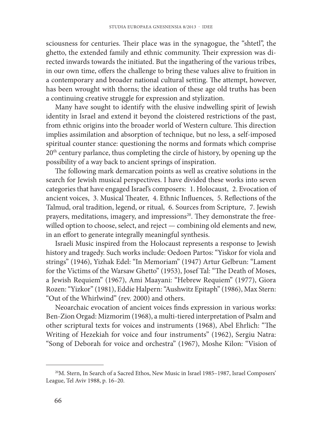sciousness for centuries. Their place was in the synagogue, the "shtetl", the ghetto, the extended family and ethnic community. Their expression was directed inwards towards the initiated. But the ingathering of the various tribes, in our own time, offers the challenge to bring these values alive to fruition in a contemporary and broader national cultural setting. The attempt, however, has been wrought with thorns; the ideation of these age old truths has been a continuing creative struggle for expression and stylization.

Many have sought to identify with the elusive indwelling spirit of Jewish identity in Israel and extend it beyond the cloistered restrictions of the past, from ethnic origins into the broader world of Western culture. This direction implies assimilation and absorption of technique, but no less, a self-imposed spiritual counter stance: questioning the norms and formats which comprise 20th century parlance, thus completing the circle of history, by opening up the possibility of a way back to ancient springs of inspiration.

The following mark demarcation points as well as creative solutions in the search for Jewish musical perspectives. I have divided these works into seven categories that have engaged Israel's composers: 1. Holocaust, 2. Evocation of ancient voices, 3. Musical Theater, 4. Ethnic Influences, 5. Reflections of the Talmud, oral tradition, legend, or ritual, 6. Sources from Scripture, 7. Jewish prayers, meditations, imagery, and impressions<sup>20</sup>. They demonstrate the freewilled option to choose, select, and reject — combining old elements and new, in an effort to generate integrally meaningful synthesis.

Israeli Music inspired from the Holocaust represents a response to Jewish history and tragedy. Such works include: Oedoen Partos: "Yiskor for viola and strings" (1946), Yizhak Edel: "In Memoriam" (1947) Artur Gelbrun: "Lament for the Victims of the Warsaw Ghetto" (1953), Josef Tal: "The Death of Moses, a Jewish Requiem" (1967), Ami Maayani: "Hebrew Requiem" (1977), Giora Rozen: "Yizkor" (1981), Eddie Halpern: "Aushwitz Epitaph" (1986), Max Stern: "Out of the Whirlwind" (rev. 2000) and others.

Neoarchaic evocation of ancient voices finds expression in various works: Ben-Zion Orgad: Mizmorim (1968), a multi-tiered interpretation of Psalm and other scriptural texts for voices and instruments (1968), Abel Ehrlich: "The Writing of Hezekiah for voice and four instruments" (1962), Sergiu Natra: "Song of Deborah for voice and orchestra" (1967), Moshe Kilon: "Vision of

<sup>20</sup> M. Stern, In Search of a Sacred Ethos, New Music in Israel 1985–1987, Israel Composers' League, Tel Aviv 1988, p. 16–20.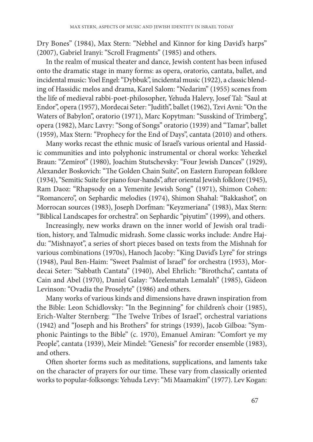Dry Bones" (1984), Max Stern: "Nebhel and Kinnor for king David's harps" (2007), Gabriel Iranyi: "Scroll Fragments" (1985) and others.

In the realm of musical theater and dance, Jewish content has been infused onto the dramatic stage in many forms: as opera, oratorio, cantata, ballet, and incidental music: Yoel Engel: "Dybbuk", incidental music (1922), a classic blending of Hassidic melos and drama, Karel Salom: "Nedarim" (1955) scenes from the life of medieval rabbi-poet-philosopher, Yehuda Halevy, Josef Tal: "Saul at Endor", opera (1957), Mordecai Seter: "Judith", ballet (1962), Tzvi Avni: "On the Waters of Babylon", oratorio (1971), Marc Kopytman: "Susskind of Trimberg", opera (1982), Marc Lavry: "Song of Songs" oratorio (1939) and "Tamar", ballet (1959), Max Stern: "Prophecy for the End of Days", cantata (2010) and others.

Many works recast the ethnic music of Israel's various oriental and Hassidic communities and into polyphonic instrumental or choral works: Yehezkel Braun: "Zemirot" (1980), Joachim Stutschevsky: "Four Jewish Dances" (1929), Alexander Boskovich: "The Golden Chain Suite", on Eastern European folklore (1934), "Semitic Suite for piano four-hands", after oriental Jewish folklore (1945), Ram Daoz: "Rhapsody on a Yemenite Jewish Song" (1971), Shimon Cohen: "Romancero", on Sephardic melodies (1974), Shimon Shahal: "Bakkashot", on Morrocan sources (1983), Joseph Dorfman: "Keyzmeriana" (1983), Max Stern: "Biblical Landscapes for orchestra". on Sephardic "piyutim" (1999), and others.

Increasingly, new works drawn on the inner world of Jewish oral tradition, history, and Talmudic midrash. Some classic works include: Andre Hajdu: "Mishnayot", a series of short pieces based on texts from the Mishnah for various combinations (1970s), Hanoch Jacoby: "King David's Lyre" for strings (1948), Paul Ben-Haim: "Sweet Psalmist of Israel" for orchestra (1953), Mordecai Seter: "Sabbath Cantata" (1940), Abel Ehrlich: "Birothcha", cantata of Cain and Abel (1970), Daniel Galay: "Meelematah Lemalah" (1985), Gideon Levinson: "Ovadia the Proselyte" (1986) and others.

Many works of various kinds and dimensions have drawn inspiration from the Bible: Leon Schidlovsky: "In the Beginning" for children's choir (1985), Erich-Walter Sternberg: "The Twelve Tribes of Israel", orchestral variations (1942) and "Joseph and his Brothers" for strings (1939), Jacob Gilboa: "Symphonic Paintings to the Bible" (c. 1970), Emanuel Amiran: "Comfort ye my People", cantata (1939), Meir Mindel: "Genesis" for recorder ensemble (1983), and others.

Often shorter forms such as meditations, supplications, and laments take on the character of prayers for our time. These vary from classically oriented works to popular-folksongs: Yehuda Levy: "Mi Maamakim" (1977). Lev Kogan: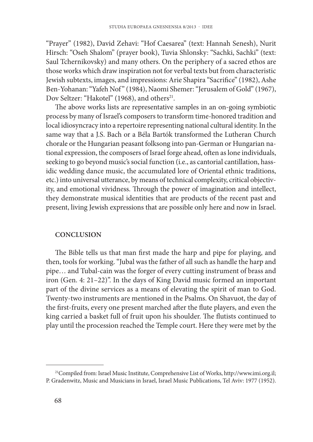"Prayer" (1982), David Zehavi: "Hof Caesarea" (text: Hannah Senesh), Nurit Hirsch: "Oseh Shalom" (prayer book), Tuvia Shlonsky: "Sachki, Sachki" (text: Saul Tchernikovsky) and many others. On the periphery of a sacred ethos are those works which draw inspiration not for verbal texts but from characteristic Jewish subtexts, images, and impressions: Arie Shapira "Sacrifice" (1982), Ashe Ben-Yohanan: "Yafeh Nof" (1984), Naomi Shemer: "Jerusalem of Gold" (1967), Dov Seltzer: "Hakotel" (1968), and others<sup>21</sup>.

The above works lists are representative samples in an on-going symbiotic process by many of Israel's composers to transform time-honored tradition and local idiosyncracy into a repertoire representing national cultural identity. In the same way that a J.S. Bach or a Béla Bartók transformed the Lutheran Church chorale or the Hungarian peasant folksong into pan-German or Hungarian national expression, the composers of Israel forge ahead, often as lone individuals, seeking to go beyond music's social function (i.e., as cantorial cantillation, hassidic wedding dance music, the accumulated lore of Oriental ethnic traditions, etc.) into universal utterance, by means of technical complexity, critical objectivity, and emotional vividness. Through the power of imagination and intellect, they demonstrate musical identities that are products of the recent past and present, living Jewish expressions that are possible only here and now in Israel.

#### **CONCLUSION**

The Bible tells us that man first made the harp and pipe for playing, and then, tools for working. "Jubal was the father of all such as handle the harp and pipe… and Tubal-cain was the forger of every cutting instrument of brass and iron (Gen. 4: 21–22)". In the days of King David music formed an important part of the divine services as a means of elevating the spirit of man to God. Twenty-two instruments are mentioned in the Psalms. On Shavuot, the day of the first-fruits, every one present marched after the flute players, and even the king carried a basket full of fruit upon his shoulder. The flutists continued to play until the procession reached the Temple court. Here they were met by the

<sup>&</sup>lt;sup>21</sup> Compiled from: Israel Music Institute, Comprehensive List of Works, http://www.imi.org.il; P. Gradenwitz, Music and Musicians in Israel, Israel Music Publications, Tel Aviv: 1977 (1952).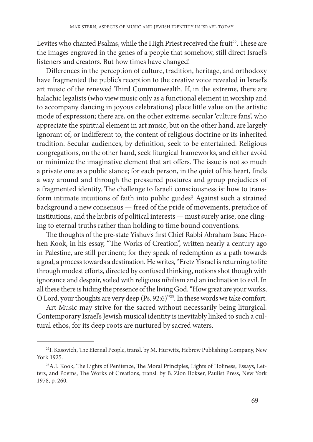Levites who chanted Psalms, while the High Priest received the fruit<sup>22</sup>. These are the images engraved in the genes of a people that somehow, still direct Israel's listeners and creators. But how times have changed!

Differences in the perception of culture, tradition, heritage, and orthodoxy have fragmented the public's reception to the creative voice revealed in Israel's art music of the renewed Third Commonwealth. If, in the extreme, there are halachic legalists (who view music only as a functional element in worship and to accompany dancing in joyous celebrations) place little value on the artistic mode of expression; there are, on the other extreme, secular 'culture fans', who appreciate the spiritual element in art music, but on the other hand, are largely ignorant of, or indifferent to, the content of religious doctrine or its inherited tradition. Secular audiences, by definition, seek to be entertained. Religious congregations, on the other hand, seek liturgical frameworks, and either avoid or minimize the imaginative element that art offers. The issue is not so much a private one as a public stance; for each person, in the quiet of his heart, finds a way around and through the pressured postures and group prejudices of a fragmented identity. The challenge to Israeli consciousness is: how to transform intimate intuitions of faith into public guides? Against such a strained background a new consensus — freed of the pride of movements, prejudice of institutions, and the hubris of political interests — must surely arise; one clinging to eternal truths rather than holding to time bound conventions.

The thoughts of the pre-state Yishuv's first Chief Rabbi Abraham Isaac Hacohen Kook, in his essay, "The Works of Creation", written nearly a century ago in Palestine, are still pertinent; for they speak of redemption as a path towards a goal, a process towards a destination. He writes, "Eretz Yisrael is returning to life through modest efforts, directed by confused thinking, notions shot though with ignorance and despair, soiled with religious nihilism and an inclination to evil. In all these there is hiding the presence of the living God. "How great are your works, O Lord, your thoughts are very deep (Ps. 92:6)"23. In these words we take comfort.

Art Music may strive for the sacred without necessarily being liturgical. Contemporary Israel's Jewish musical identity is inevitably linked to such a cultural ethos, for its deep roots are nurtured by sacred waters.

<sup>&</sup>lt;sup>22</sup> I. Kasovich, The Eternal People, transl. by M. Hurwitz, Hebrew Publishing Company, New York 1925.

<sup>&</sup>lt;sup>23</sup> A.I. Kook, The Lights of Penitence, The Moral Principles, Lights of Holiness, Essays, Letters, and Poems, The Works of Creations, transl. by B. Zion Bokser, Paulist Press, New York 1978, p. 260.